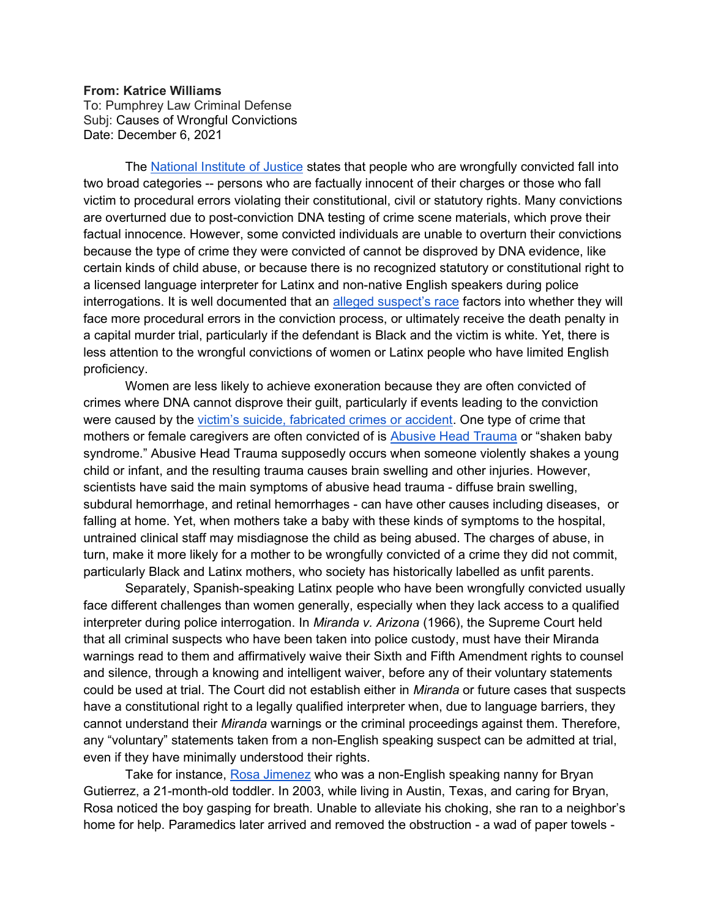## From: Katrice Williams

To: Pumphrey Law Criminal Defense Subj: Causes of Wrongful Convictions Date: December 6, 2021

 The National Institute of Justice states that people who are wrongfully convicted fall into two broad categories -- persons who are factually innocent of their charges or those who fall victim to procedural errors violating their constitutional, civil or statutory rights. Many convictions are overturned due to post-conviction DNA testing of crime scene materials, which prove their factual innocence. However, some convicted individuals are unable to overturn their convictions because the type of crime they were convicted of cannot be disproved by DNA evidence, like certain kinds of child abuse, or because there is no recognized statutory or constitutional right to a licensed language interpreter for Latinx and non-native English speakers during police interrogations. It is well documented that an alleged suspect's race factors into whether they will face more procedural errors in the conviction process, or ultimately receive the death penalty in a capital murder trial, particularly if the defendant is Black and the victim is white. Yet, there is less attention to the wrongful convictions of women or Latinx people who have limited English proficiency.

Women are less likely to achieve exoneration because they are often convicted of crimes where DNA cannot disprove their guilt, particularly if events leading to the conviction were caused by the victim's suicide, fabricated crimes or accident. One type of crime that mothers or female caregivers are often convicted of is Abusive Head Trauma or "shaken baby syndrome." Abusive Head Trauma supposedly occurs when someone violently shakes a young child or infant, and the resulting trauma causes brain swelling and other injuries. However, scientists have said the main symptoms of abusive head trauma - diffuse brain swelling, subdural hemorrhage, and retinal hemorrhages - can have other causes including diseases, or falling at home. Yet, when mothers take a baby with these kinds of symptoms to the hospital, untrained clinical staff may misdiagnose the child as being abused. The charges of abuse, in turn, make it more likely for a mother to be wrongfully convicted of a crime they did not commit, particularly Black and Latinx mothers, who society has historically labelled as unfit parents.

Separately, Spanish-speaking Latinx people who have been wrongfully convicted usually face different challenges than women generally, especially when they lack access to a qualified interpreter during police interrogation. In Miranda v. Arizona (1966), the Supreme Court held that all criminal suspects who have been taken into police custody, must have their Miranda warnings read to them and affirmatively waive their Sixth and Fifth Amendment rights to counsel and silence, through a knowing and intelligent waiver, before any of their voluntary statements could be used at trial. The Court did not establish either in Miranda or future cases that suspects have a constitutional right to a legally qualified interpreter when, due to language barriers, they cannot understand their Miranda warnings or the criminal proceedings against them. Therefore, any "voluntary" statements taken from a non-English speaking suspect can be admitted at trial, even if they have minimally understood their rights.

Take for instance, Rosa Jimenez who was a non-English speaking nanny for Bryan Gutierrez, a 21-month-old toddler. In 2003, while living in Austin, Texas, and caring for Bryan, Rosa noticed the boy gasping for breath. Unable to alleviate his choking, she ran to a neighbor's home for help. Paramedics later arrived and removed the obstruction - a wad of paper towels -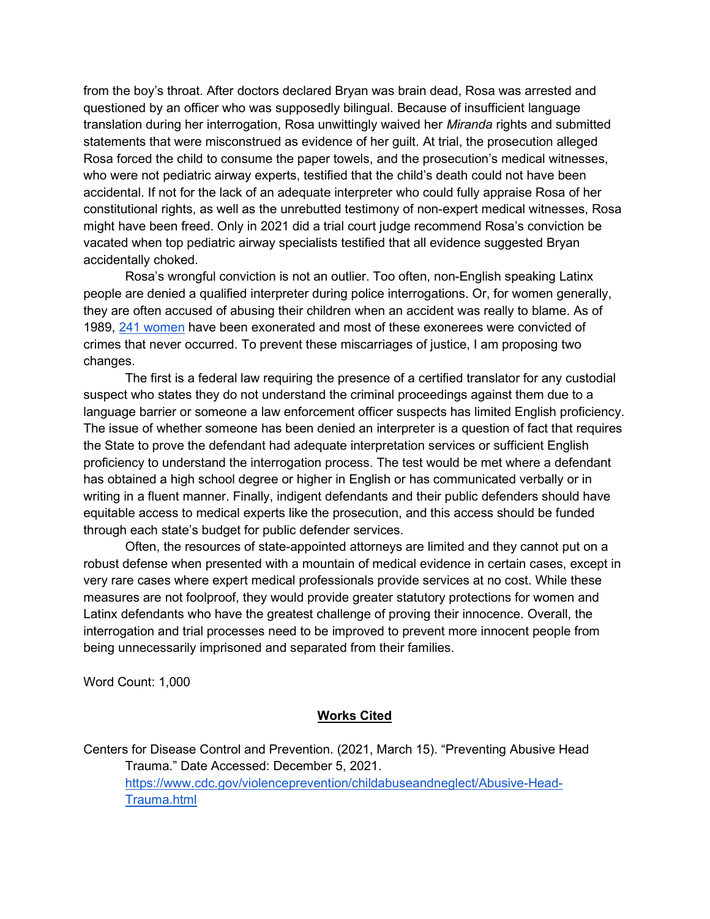from the boy's throat. After doctors declared Bryan was brain dead, Rosa was arrested and questioned by an officer who was supposedly bilingual. Because of insufficient language translation during her interrogation, Rosa unwittingly waived her *Miranda* rights and submitted statements that were misconstrued as evidence of her guilt. At trial, the prosecution alleged Rosa forced the child to consume the paper towels, and the prosecution's medical witnesses, who were not pediatric airway experts, testified that the child's death could not have been accidental. If not for the lack of an adequate interpreter who could fully appraise Rosa of her constitutional rights, as well as the unrebutted testimony of non-expert medical witnesses, Rosa might have been freed. Only in 2021 did a trial court judge recommend Rosa's conviction be vacated when top pediatric airway specialists testified that all evidence suggested Bryan accidentally choked.

Rosa's wrongful conviction is not an outlier. Too often, non-English speaking Latinx people are denied a qualified interpreter during police interrogations. Or, for women generally, they are often accused of abusing their children when an accident was really to blame. As of 1989, 241 women have been exonerated and most of these exonerees were convicted of crimes that never occurred. To prevent these miscarriages of justice, I am proposing two changes.

The first is a federal law requiring the presence of a certified translator for any custodial suspect who states they do not understand the criminal proceedings against them due to a language barrier or someone a law enforcement officer suspects has limited English proficiency. The issue of whether someone has been denied an interpreter is a question of fact that requires the State to prove the defendant had adequate interpretation services or sufficient English proficiency to understand the interrogation process. The test would be met where a defendant has obtained a high school degree or higher in English or has communicated verbally or in writing in a fluent manner. Finally, indigent defendants and their public defenders should have equitable access to medical experts like the prosecution, and this access should be funded through each state's budget for public defender services.

Often, the resources of state-appointed attorneys are limited and they cannot put on a robust defense when presented with a mountain of medical evidence in certain cases, except in very rare cases where expert medical professionals provide services at no cost. While these measures are not foolproof, they would provide greater statutory protections for women and Latinx defendants who have the greatest challenge of proving their innocence. Overall, the interrogation and trial processes need to be improved to prevent more innocent people from being unnecessarily imprisoned and separated from their families.

Word Count: 1,000

## Works Cited

Centers for Disease Control and Prevention. (2021, March 15). "Preventing Abusive Head Trauma." Date Accessed: December 5, 2021. https://www.cdc.gov/violenceprevention/childabuseandneglect/Abusive-Head-Trauma.html